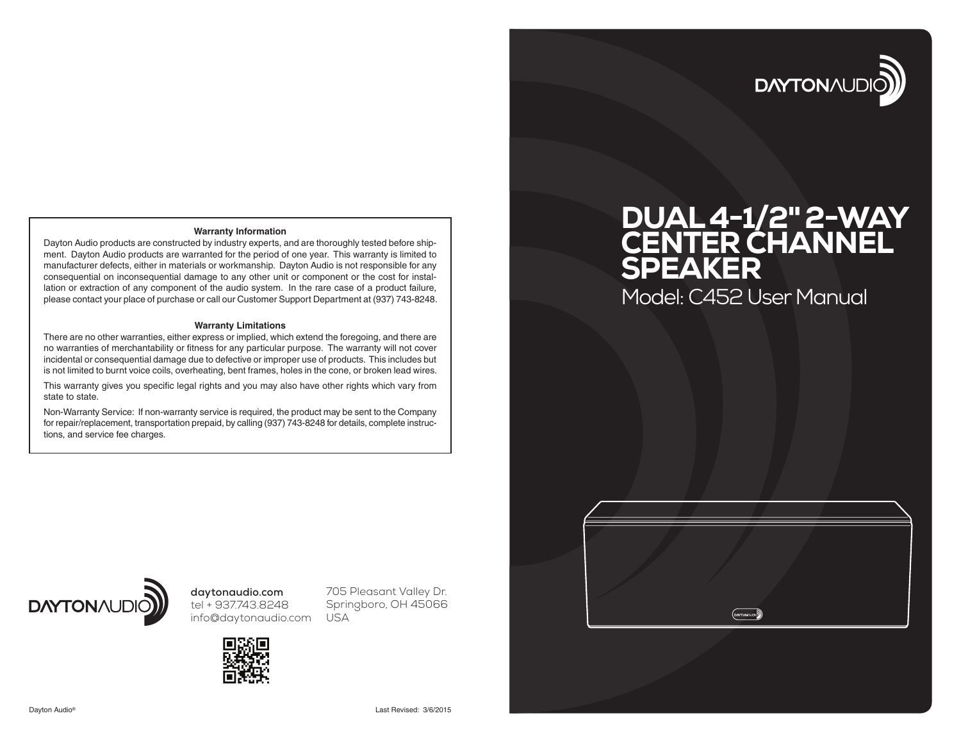

#### **Warranty Information**

Dayton Audio products are constructed by industry experts, and are thoroughly tested before shipment. Dayton Audio products are warranted for the period of one year. This warranty is limited to manufacturer defects, either in materials or workmanship. Dayton Audio is not responsible for any consequential on inconsequential damage to any other unit or component or the cost for installation or extraction of any component of the audio system. In the rare case of a product failure, please contact your place of purchase or call our Customer Support Department at (937) 743-8248.

#### **Warranty Limitations**

There are no other warranties, either express or implied, which extend the foregoing, and there are no warranties of merchantability or fitness for any particular purpose. The warranty will not cover incidental or consequential damage due to defective or improper use of products. This includes but is not limited to burnt voice coils, overheating, bent frames, holes in the cone, or broken lead wires.

This warranty gives you specific legal rights and you may also have other rights which vary from state to state.

Non-Warranty Service: If non-warranty service is required, the product may be sent to the Company for repair/replacement, transportation prepaid, by calling (937) 743-8248 for details, complete instructions, and service fee charges.



Model: C452 User Manual

*CANTONALD* 



**daytonaudio.com** tel + 937.743.8248 info@daytonaudio.com

705 Pleasant Valley Dr. Springboro, OH 45066 USA